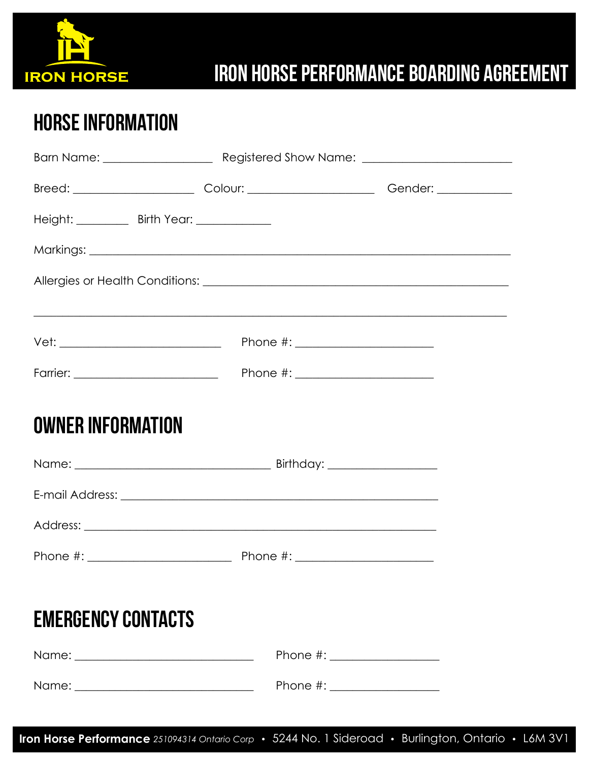

## **IRON HORSE PERFORMANCE BOARDING AGREEMENT**

## **HORSE INFORMATION**

|                                                                                                                                                                                                                                | Breed: ______________________________Colour: ___________________________________Gender: _________________ |  |
|--------------------------------------------------------------------------------------------------------------------------------------------------------------------------------------------------------------------------------|-----------------------------------------------------------------------------------------------------------|--|
| Height: __________ Birth Year: _____________                                                                                                                                                                                   |                                                                                                           |  |
|                                                                                                                                                                                                                                |                                                                                                           |  |
|                                                                                                                                                                                                                                |                                                                                                           |  |
|                                                                                                                                                                                                                                | <u> 1989 - Johann Stoff, amerikansk politiker (d. 1989)</u>                                               |  |
|                                                                                                                                                                                                                                |                                                                                                           |  |
|                                                                                                                                                                                                                                |                                                                                                           |  |
| <b>OWNER INFORMATION</b>                                                                                                                                                                                                       |                                                                                                           |  |
|                                                                                                                                                                                                                                |                                                                                                           |  |
|                                                                                                                                                                                                                                |                                                                                                           |  |
|                                                                                                                                                                                                                                |                                                                                                           |  |
|                                                                                                                                                                                                                                |                                                                                                           |  |
| <b>EMERGENCY CONTACTS</b>                                                                                                                                                                                                      |                                                                                                           |  |
|                                                                                                                                                                                                                                |                                                                                                           |  |
| Name: when the contract of the contract of the contract of the contract of the contract of the contract of the contract of the contract of the contract of the contract of the contract of the contract of the contract of the | Phone $\#$ :                                                                                              |  |

Iron Horse Performance 251094314 Ontario Corp · 5244 No. 1 Sideroad · Burlington, Ontario · L6M 3V1